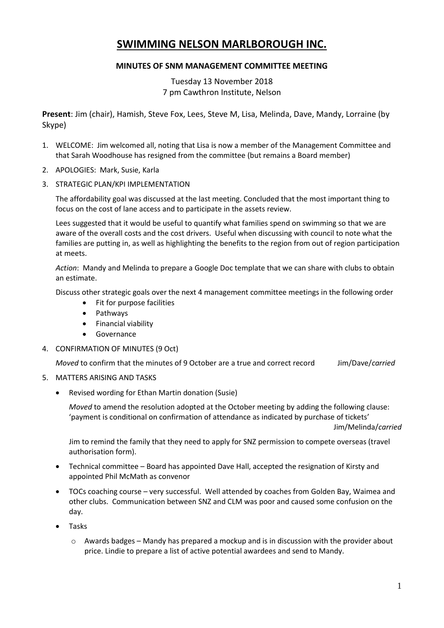# **SWIMMING NELSON MARLBOROUGH INC.**

## **MINUTES OF SNM MANAGEMENT COMMITTEE MEETING**

Tuesday 13 November 2018 7 pm Cawthron Institute, Nelson

**Present**: Jim (chair), Hamish, Steve Fox, Lees, Steve M, Lisa, Melinda, Dave, Mandy, Lorraine (by Skype)

- 1. WELCOME: Jim welcomed all, noting that Lisa is now a member of the Management Committee and that Sarah Woodhouse has resigned from the committee (but remains a Board member)
- 2. APOLOGIES: Mark, Susie, Karla
- 3. STRATEGIC PLAN/KPI IMPLEMENTATION

The affordability goal was discussed at the last meeting. Concluded that the most important thing to focus on the cost of lane access and to participate in the assets review.

Lees suggested that it would be useful to quantify what families spend on swimming so that we are aware of the overall costs and the cost drivers. Useful when discussing with council to note what the families are putting in, as well as highlighting the benefits to the region from out of region participation at meets.

*Action*: Mandy and Melinda to prepare a Google Doc template that we can share with clubs to obtain an estimate.

Discuss other strategic goals over the next 4 management committee meetings in the following order

- Fit for purpose facilities
- Pathways
- Financial viability
- **•** Governance
- 4. CONFIRMATION OF MINUTES (9 Oct)

*Moved* to confirm that the minutes of 9 October are a true and correct record Jim/Dave/*carried*

- 5. MATTERS ARISING AND TASKS
	- Revised wording for Ethan Martin donation (Susie)

*Moved* to amend the resolution adopted at the October meeting by adding the following clause: 'payment is conditional on confirmation of attendance as indicated by purchase of tickets'

Jim/Melinda/*carried*

Jim to remind the family that they need to apply for SNZ permission to compete overseas (travel authorisation form).

- Technical committee Board has appointed Dave Hall, accepted the resignation of Kirsty and appointed Phil McMath as convenor
- TOCs coaching course very successful. Well attended by coaches from Golden Bay, Waimea and other clubs. Communication between SNZ and CLM was poor and caused some confusion on the day.
- Tasks
	- $\circ$  Awards badges Mandy has prepared a mockup and is in discussion with the provider about price. Lindie to prepare a list of active potential awardees and send to Mandy.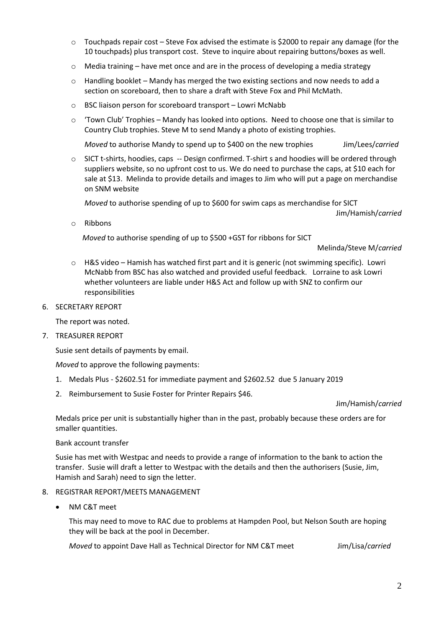- $\circ$  Touchpads repair cost Steve Fox advised the estimate is \$2000 to repair any damage (for the 10 touchpads) plus transport cost. Steve to inquire about repairing buttons/boxes as well.
- $\circ$  Media training have met once and are in the process of developing a media strategy
- $\circ$  Handling booklet Mandy has merged the two existing sections and now needs to add a section on scoreboard, then to share a draft with Steve Fox and Phil McMath.
- o BSC liaison person for scoreboard transport Lowri McNabb
- o 'Town Club' Trophies Mandy has looked into options. Need to choose one that is similar to Country Club trophies. Steve M to send Mandy a photo of existing trophies.

*Moved* to authorise Mandy to spend up to \$400 on the new trophies Jim/Lees/*carried* 

 $\circ$  SICT t-shirts, hoodies, caps -- Design confirmed. T-shirt s and hoodies will be ordered through suppliers website, so no upfront cost to us. We do need to purchase the caps, at \$10 each for sale at \$13. Melinda to provide details and images to Jim who will put a page on merchandise on SNM website

*Moved* to authorise spending of up to \$600 for swim caps as merchandise for SICT

Jim/Hamish/*carried*

o Ribbons

*Moved* to authorise spending of up to \$500 +GST for ribbons for SICT

Melinda/Steve M/*carried*

- $\circ$  H&S video Hamish has watched first part and it is generic (not swimming specific). Lowri McNabb from BSC has also watched and provided useful feedback. Lorraine to ask Lowri whether volunteers are liable under H&S Act and follow up with SNZ to confirm our responsibilities
- 6. SECRETARY REPORT

The report was noted.

7. TREASURER REPORT

Susie sent details of payments by email.

*Moved* to approve the following payments:

- 1. Medals Plus \$2602.51 for immediate payment and \$2602.52 due 5 January 2019
- 2. Reimbursement to Susie Foster for Printer Repairs \$46.

Jim/Hamish/*carried*

Medals price per unit is substantially higher than in the past, probably because these orders are for smaller quantities.

#### Bank account transfer

Susie has met with Westpac and needs to provide a range of information to the bank to action the transfer. Susie will draft a letter to Westpac with the details and then the authorisers (Susie, Jim, Hamish and Sarah) need to sign the letter.

- 8. REGISTRAR REPORT/MEETS MANAGEMENT
	- NM C&T meet

This may need to move to RAC due to problems at Hampden Pool, but Nelson South are hoping they will be back at the pool in December.

*Moved* to appoint Dave Hall as Technical Director for NM C&T meet Jim/Lisa/*carried*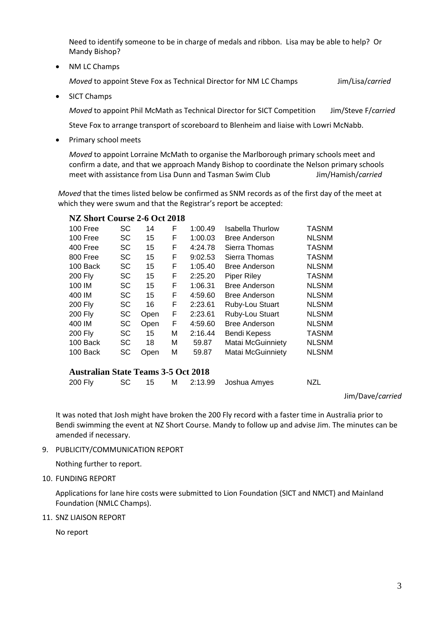Need to identify someone to be in charge of medals and ribbon. Lisa may be able to help? Or Mandy Bishop?

• NM LC Champs

*Moved* to appoint Steve Fox as Technical Director for NM LC Champs Jim/Lisa/*carried*

• SICT Champs

*Moved* to appoint Phil McMath as Technical Director for SICT Competition Jim/Steve F/*carried*

Steve Fox to arrange transport of scoreboard to Blenheim and liaise with Lowri McNabb.

Primary school meets

*Moved* to appoint Lorraine McMath to organise the Marlborough primary schools meet and confirm a date, and that we approach Mandy Bishop to coordinate the Nelson primary schools meet with assistance from Lisa Dunn and Tasman Swim Club Jim/Hamish/*carried*

*Moved* that the times listed below be confirmed as SNM records as of the first day of the meet at which they were swum and that the Registrar's report be accepted:

## **NZ Short Course 2-6 Oct 2018**

| 100 Free       | SC        | 14   | F | 1:00.49 | Isabella Thurlow     | <b>TASNM</b> |
|----------------|-----------|------|---|---------|----------------------|--------------|
| 100 Free       | <b>SC</b> | 15   | F | 1:00.03 | <b>Bree Anderson</b> | <b>NLSNM</b> |
| 400 Free       | SC        | 15   | F | 4:24.78 | Sierra Thomas        | <b>TASNM</b> |
| 800 Free       | SC        | 15   | F | 9:02.53 | Sierra Thomas        | <b>TASNM</b> |
| 100 Back       | SC        | 15   | F | 1:05.40 | <b>Bree Anderson</b> | <b>NLSNM</b> |
| <b>200 Fly</b> | <b>SC</b> | 15   | F | 2:25.20 | Piper Riley          | <b>TASNM</b> |
| 100 IM         | <b>SC</b> | 15   | F | 1:06.31 | <b>Bree Anderson</b> | <b>NLSNM</b> |
| 400 IM         | <b>SC</b> | 15   | F | 4:59.60 | <b>Bree Anderson</b> | <b>NLSNM</b> |
| <b>200 Fly</b> | SC        | 16   | F | 2:23.61 | Ruby-Lou Stuart      | <b>NLSNM</b> |
| <b>200 Fly</b> | <b>SC</b> | Open | F | 2:23.61 | Ruby-Lou Stuart      | <b>NLSNM</b> |
| 400 IM         | <b>SC</b> | Open | F | 4:59.60 | <b>Bree Anderson</b> | <b>NLSNM</b> |
| <b>200 Fly</b> | SC        | 15   | М | 2:16.44 | Bendi Kepess         | <b>TASNM</b> |
| 100 Back       | <b>SC</b> | 18   | М | 59.87   | Matai McGuinniety    | <b>NLSNM</b> |
| 100 Back       | SC        | Open | М | 59.87   | Matai McGuinniety    | <b>NLSNM</b> |
|                |           |      |   |         |                      |              |

## **Australian State Teams 3-5 Oct 2018**

| 200 Fly |  |  |  |  | SC 15 M 2:13.99 Joshua Amyes | NZL |
|---------|--|--|--|--|------------------------------|-----|
|---------|--|--|--|--|------------------------------|-----|

#### Jim/Dave/*carried*

It was noted that Josh might have broken the 200 Fly record with a faster time in Australia prior to Bendi swimming the event at NZ Short Course. Mandy to follow up and advise Jim. The minutes can be amended if necessary.

9. PUBLICITY/COMMUNICATION REPORT

Nothing further to report.

10. FUNDING REPORT

Applications for lane hire costs were submitted to Lion Foundation (SICT and NMCT) and Mainland Foundation (NMLC Champs).

#### 11. SNZ LIAISON REPORT

No report